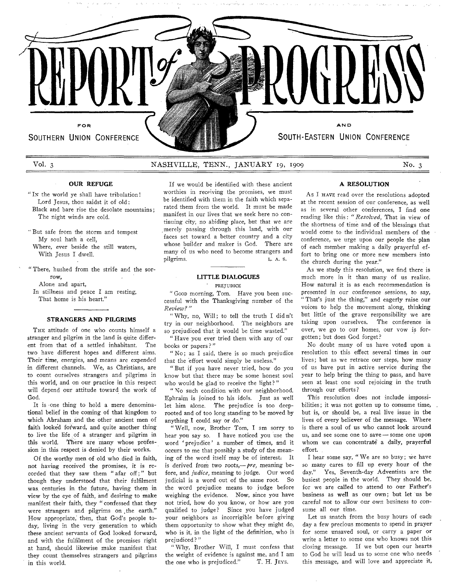

# **Vol. 3 NASHVILLE, TENN., JANUARY** 19, 1909 **No. 3**

# **OUR REFUGE**

' In the world ye shall have tribulation! Lord Jesus, thou saidst it of old: Black and bare rise the desolate mountains; The night winds are cold.

' But safe from the storm and tempest My soul hath a cell, Where, ever beside the still waters, With Jesus I dwell.

' There, hushed from the strife and the sorrow, Alone and apart,

In stillness and peace I am resting, That home is his heart."

# **STRANGERS AND PILGRIMS**

THE attitude of one who counts himself a stranger and pilgrim in the land is quite different from that of a settled inhabitant. The two have different hopes and different aims. Their time, energies, and means are expended in different channels. We, as Christians, are to count ourselves strangers and pilgrims in this world, and on our practice in this respect will depend our attitude toward the work of God.

It is one thing to hold a mere denominational belief in the coming of that kingdom to which Abraham and the other ancient men of faith looked forward, and quite another thing to live the life of a stranger and pilgrim in this world. There are many whose profession in this respect is denied by their works.

Of the worthy men of old who died in faith, not having received the promises, it is recorded that they saw them " afar off; " but though they understood that their fulfilment was. centuries in. the future, having them in view by the eye of faith, and desiring to make manifest their faith, they " confessed that they were strangers and pilgrims on the earth." How appropriate,' then, that God's people today, living in the very generation to which these ancient servants of God looked forward, and with the fulfilment of the promises right at hand, should likewise make manifest that they count themselves strangers and pilgrims in this world.

If we would be identified with these ancient worthies in receiving the promises, we must be identified with them in the faith which separated them from the world. It must be made manifest in our lives that we seek here no continuing city, no abiding place, but that we are .merely passing through this land, with our faces set toward a better country and a city whose builder and maker is God. There are many of us who need to become strangers and pilgrims. L. A. S.

# **LITTLE DIALOGUES** ' PREJUDICE

" Goop morning, Tom. Have you been successful with the Thanksgiving number of the *Review? "*

"Why, no, Will; to tell the truth I didn't try in our neighborhood. The neighbors are so prejudiced that it would be time wasted."

*"* Have you ever tried them with any of our books or papers ? "

" No; as I said, there is so much prejudice that *the* effort would simply be useless."

" But if you have never tried, how do you know but that there may be some honest soul who would be glad to receive the light?"

" No such condition with our neighborhood. Ephraim is joined to his idols. Just as well let him alone. The prejudice is too deeprooted and of too long standing to be moved by anything I could say or do."

" Well, now, Brother Tom, I am sorry to hear you say so. I have noticed you use the word ' prejudice' a number of times, and it occurs to me that possibly a study of the meaning of the word itself may be of interest: It is derived from two roots,— *pre, meaning* before, and *jtidice,* meaning to judge. Our word judicial is a word out of the same root. So the word prejudice means to judge before weighing the evidence. Now, since you have not tried, how do you know, or how are you qualified to judge? Since you have judged your neighbors as incorrigible before giving them opportunity to show what they might do, who is it, in the light of the definition, who is prejudiced? "

" Why, Brother Will, I must confess that the weight of evidence is against me. and I am the one who is prejudiced." T. H. JEYS.

### **A RESOLUTION**

As I HAVE read over the resolutions adopted at the recent session of our conference, as well as in several other conferences, I find one reading like this: " *Resolved,* That in view of the shortness of time and of the blessings that would come to the individual members of the conference, we urge upon our people the plan pf each member making a daily prayerful effort to bring one or more new members into the church during the year."

As we study this resolution, we find there is much more in it than many of us realize. How natural it is as each recommendation is presented in our conference sessions, to say, " That's just the thing," and eagerly raise our voices to help the movement along, thinking but little of the grave responsibility we are taking upon ourselves. The conference is over, we go to our homes, our vow is forgotten; but does God forget?

No doubt many of us have voted upon a resolution to this effect several times in our lives; but as we retrace our steps, how many of us have put in active service during the year to help bring the thing to pass, and have seen at least one soul rejoicing in the truth through our efforts?

This resolution does not include impossibilities; it was not gotten up to consume time, but is, or should be, a real live issue in the lives of every believer of the message. Where is there a soul of us who cannot look around us, and see some one to save — some one upon whom we can concentrate a daily, prayerful effort.

I hear some say, "We are so busy; we have so many cares to fill up every hour of the day." Yes, Seventh-day Adventists are the busiest people in the world. They should be, for we are called to attend to our Father's business as well as our own; but let us be careful not to allow our own business to consume all our time.

Let us snatch from the busy hours of each day a few precious moments to spend in prayer for some unsaved soul, or carry a paper or write a letter to some one who knows not this closing message. If we but open our hearts to God he will lead us to some one who needs this message, and will love and appreciate it,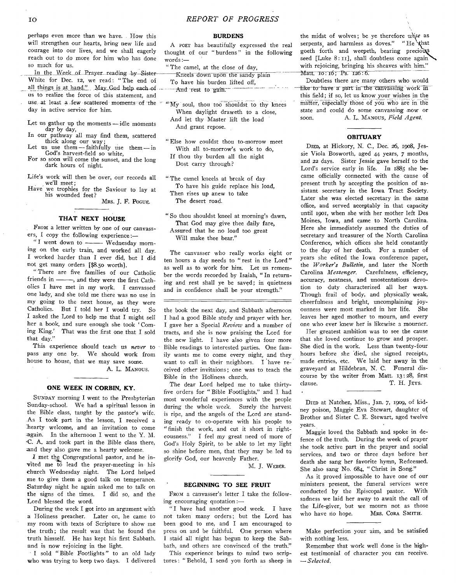perhaps even more than we have. . How this will strengthen our hearts, bring new life and courage into our lives, and we shall eagerly reach out to do more for him who has done so much for us.

In the Week of Prayer reading by Sister-White for Dec. 12, we read: " The end of all things is at hand." May God help each of .... us to realize the force of this statement, and use at least a tew scattered moments of the  $\alpha$   $\mathbf{W}$  soul, thou too shouldst to thy knees day in active service for him.

- Let us gather up the moments idle moments day by day,
- In our pathway all may find them, scattered thick along our way;
- Let us use them  $-$  faithfully use them  $-$  in God's harvest-field so white,
- For so soon will come the sunset, and the long dark hours of night.
- Life's work will then be over, our records all we'll meet;
- Have we trophies for the Saviour to lay at his wounded feet?

MRS. J. F. POGUE.

# **THAT NEXT HOUSE**

FROM a letter written by one of our canvassers, I copy the following experience: $-$ 

"I went down to ------- Wednesday morning on the early train, and worked all day. I worked harder than I ever did, but I did not get many orders [\$8.50 worth].

" There are five families of our Catholic friends in  $\frac{m}{n}$ , and they were the first Catholics I have met in my work. I canvassed one lady, and she told me there was no use in my going to the next house, as they were Catholics. But I told her I would try. So I asked the Lord to help me that I might sell her a book, and sure enough she took ' Coming King.' That was the first one that I sold that day."

This experience should teach us never to pass any one by. We should work from house to house, that we may save some.

A. L. MANOUS.

## **ONE WEEK IN CORBIN, KY.**

SUNDAY morning I went to the Presbyterian Sunday-school. We had a spiritual lesson in the Bible class, taught by the pastor's wife. As I took part in the lesson, I received a hearty welcome, and an invitation to come -again. In the afternoon I went to the Y. M. 'C. A. and took part in the Bible class there, and they also gave me a hearty welcome.

*I* met the Congregational pastor, and he invited me to lead the prayer-meeting in his church Wednesday night. The Lord helped me to give them a good talk on temperance. Saturday night he again asked me to talk on the signs of the times. I did so, and the Lord blessed the word.

During the week I got into an argument with a Holiness preacher. Later on, he came to my room with texts of Scripture to show me the truth; the result was that he found the truth himself. He has kept his first Sabbath, and is now rejoicing in the light.

I sold " Bible Footlights " to an old lady who was trying to keep two days. I delivered

# **BURDENS**

A poet has beautifully expressed the real thought of our " burdens " in the following words:—

" The camel, at the close of day,

| Kneels down upon the sandy plain           |  |
|--------------------------------------------|--|
| To have his burden lifted off.             |  |
| and a more<br>$ -\text{And}$ rest to gain. |  |

When daylight draweth to a close, And let thy Master lift the load And grant repose.

" Else how couldst thou to-morrow meet With all to-morrow's work to do, If thou thy burden all the night Dost carry through?

" The camel kneels at break of day To have his guide replace his load, Then rises up anew to take The desert road.

" So thou shouldst kneel at morning's dawn, That God may give thee daily fare, Assured that he no load too great Will make thee bear."

The canvasser who really works eight or ten hours a day needs to " rest in the Lord " as well as to work for him. Let us remember the words recorded by Isaiah, " In returning and rest shall ye be saved; in quietness and in confidence shall be your strength."

the book the next day, and Sabbath afternoon I had a good Bible study and prayer with her. I gave her a Special *Review* and a number of tracts, and she is now praising the Lord for the new light. I have also given four more Bible readings to interested parties. One family wants me to come every night, and they want to call in their neighbors. I have received other invitaions; one was to teach the Bible in the Holiness church.

The dear Lord helped me to take thirtyfive orders for " Bible Footlights," and I had most wonderful experiences with the people during the whole week. Surely the harvest is ripe, and the angels of the Lord are standing ready to co-operate with his people to " finish the work, and cut it short in righteousness." I feel my great need of more of God's Holy Spirit, to be able to let my light so shine before men, that they may be led to glorify- God, our heavenly Father.

M. J. WEBER.

#### **BEGINNING TO SEE FRUIT**

FROM a canvasser's letter I take the following encouraging quotation:—

"I have had another good week. I have not taken many orders; but the Lord has been good to me, and I am encouraged to press on and be faithful. One person where I staid all night has begun to keep the Sabbath, and others are convinced of the truth."

This experience brings to mind two scriptures : " Behold, I send you forth as sheep in

the midst of wolves; be ye therefore *wise* as serpents and harmless as doves." "He that goeth forth and weepeth, bearing precious seed [Luke 8:11], shall doubtless come again with rejoicing, bringing his sheaves with him." Matt. 10:16; Ps. 126:6.

Doubtless there are many others who would like to have a part in the canvassing work in this field; if so, let us know your wishes in the matter, especially those of you who are in the state and could do some canvassing -now or soon. A. L. MANOUS, *Field Agent*.

## **OBITUARY**

DIED, at Hickory, N. C., Dec. 26, 1908, Jessie Viola Bosworth, aged 44 years, 7 months, and 22 days. Sister Jessie gave herself to the Lord's service early in life. In 1885 she became officially connected with the cause of present truth by accepting the position of assistant secretary in the Iowa Tract Society. Later she was elected secretary in the same office, and served acceptably in that capacity until 1901, when she with her mother left Des Moines, Iowa, and came to North Carolina. Here she immediately assumed the duties of secretary and treasurer of the North Carolina Conference, which offices she held constantly to the day of her death. For a number of years she edited the Iowa conference paper, the *Worker's Bulletin*, and later the North Carolina *Messenger.* Carefulness, efficiency, accuracy, neatness, and unostentatious devotion to duty characterized all her ways. Though frail of body, and physically weak, cheerfulness and bright, uncomplaining joyousness were most marked in her life. She leaves her aged mother to mourn, and every one who ever knew her is likewise a mourner.

Her greatest ambition was to see the cause that she loved continue to grow and prosper. She died in the work. Less than twenty-four hours before she died, she signed receipts, made entries, etc. We laid her away in the graveyard at Hildebran, N. C. Funeral discourse by the writer from Matt. 13:28, first clause. T. H. JEYS.

DIED at Natchez, Miss., Jan. 7, 1909, of kidney poison, Maggie Eva Stewart, daughter of Brother and Sister C. E. Stewart, aged twelve years.

Maggie loved the Sabbath and spoke in defence of the truth. During the week of prayer she took active part in the prayer and social services, and two or three days before her death she sang her favorite hymn, Redeemed. She also sang No. 684, " Christ in Song."

As it proved impossible to have one of our ministers present, the funeral services were conducted by the Episcopal pastor. With sadness we laid her away to await the call of the Life-giver, but we mourn not as those who have no hope. MRS. CORA SMITH.

Make perfection your aim, and be satisfied with nothing less.

Remember that work well done is the highest testimonial of character you can receive. — *Selected.*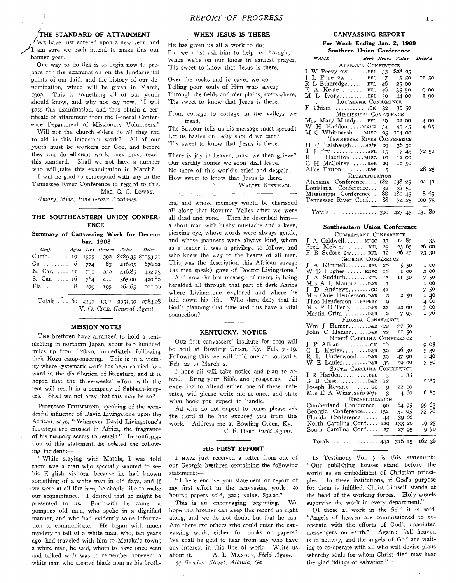# ${\rm \bf \hat{T}}$ HE STANDARD OF ATTAINMENT

WE have just entered upon a new year, and ^ 1 am sure we each intend to make this our banner vear.

One way to do this is to begin now to prepare for the examination on the fundamental points of our faith and the history of our denomination, which will be given in March, 1909. This is something all of our youth should know, and why not say now, " I will pass this examination, and thus obtain a certificate of attainment from the General Conference Department of Missionary Volunteers."

Will not the church elders do all they can to aid in this important work? All of our youth must be workers for God, and before they can do efficient work, they must reach this standard. Shall we not have a number who will take this examination in March?

I will be glad to correspond with any in the Tennessee River Conference in regard to this. MRS. G. G. LOWRY.

Amory, *Miss., Pine Grove Academy.*

### **THE SOUTHEASTERN UNION CONFER-ENCE**

**Summary of Canvassing Work for December, 1908**

| Conf. Ag'ts Hrs. Orders Value Deliv.                            |  |         |                |               |
|-----------------------------------------------------------------|--|---------|----------------|---------------|
| Cumb. 19 1575 392 \$780.35 \$1153.71                            |  |         |                |               |
| Ga $6\quad 774\quad 83\quad 216.05\quad 676.02$                 |  |         |                |               |
| N. Car.  II 751 250 416.85 432.75                               |  |         |                |               |
| S. Car.  16                                                     |  |         | 764 411 365.00 | 420.80        |
| Fla. 8                                                          |  | 270 105 |                | 264.65 101.00 |
| $\mathbf{r}$ and $\mathbf{r}$ and $\mathbf{r}$ and $\mathbf{r}$ |  |         |                |               |

Totals .. . . 60 4143 1331 2051.90 2784.28 V. O. COLE, General Agent.

#### **MISSION NOTES**

THE brethren have arranged to hold a tentmeeting in northern Japan, about two hundred miles up from Tokyo, immediately following their Kozu camp-meeting. This is in a vicinity where systematic work has been carried forward in the distribution of literature, and it is hoped that the three-weeks' effort with the tent will result in a company of Sabbath-keepers. Shall we not pray that this may be so ?

PROFESSOR DRUMMOND, speaking of the wonderful influence of David Livingstone upon the African, says, " Wherever David Livingstone's footsteps are crossed in Africa, the fragrance of his memory seems to remain." In confirmation of this statement, he related the following incident:—

" While staying with Matola, I was told there was a man who specially wanted to see his English visitors, because he had known something of a white man in old days, and if we were at all like him, he should like to make our acquaintance. I desired that he might be presented to us. Forthwith he came — a pompous old man, who spoke in a dignified manner, and who had evidently some information to communicate. He began with much mystery to tell of a white man, who, ten years ago, had traveled with him to .Mataka's town; a white man, he said, whom to have once seen and talked with was to remember forever; a white man who treated black men as his broth-

#### **WHEN JESUS IS THERE**

He has given us all a work to do; But we must ask him to help us through; When we're on our knees in earnest prayer, 'Tis sweet to know that Jesus is there.

Over the rocks and in caves we go, Telling poor souls of Him who saves; Through the fields and o'er plains, everywhere, 'Tis sweet to know that Jesus is there.

From cottage to cottage in the valleys we tread,

The Saviour tells us his message must spread; Let us hasten on; why should we care? 'Tis sweet to know that Jesus is there.

There is joy in heaven, must we then grieve? Our earthly homes we soon shall leave. No more of this world's grief and despair; How sweet to know that Jesus is there. WALTER KIRKHAM.

ers, and whose memory would be cherished all along that Rovuma Valley after we were all dead and gone. Then he described him a short man with bushy mustache and a keen, piercing eye, whose words were always gentle, and whose manners were always kind, whom as a leader it was a privilege to follow, and who knew the way to the hearts of all men. This was the description this African savage (as men speak) gave of Doctor Livingstone." And now the last message of mercy is being heralded all through that part of dark Africa where Livingstone explored and where he laid down his life. Who dare deny that in God's planning that time and this have a vital connection ?

#### **KENTUCKY, NOTICE**

OUR first canvassers' institute for 1909 will be held at Bowling Green, Ky., Feb. 7 -19. Following this we will hold one at Louisville, Feb. 22 to March 2.

I hope all will take notice and plan to attend. Bring your Bible and prospectus. All expecting to attend either one of these institutes, will please write me at once, and state what book you expect to handle.

All who do not expect to come, please ask the Lord if he has excused you from this work. Address me at Bowling Green, Ky.

C. F. DART, Field Agent.

#### **HIS FIRST EFFORT**

I HAVE just received a letter from one of our Georgia brethren containing the following statement:—

" I here enclose you statement or report of my first effort in the canvassing work: 50 hours; papers sold, 322; value, \$32.20."

This is an encouraging beginning. We hope this brother can keep this record up right along, and we do not doubt but that he can. Are there rfot others who could enter the canvassing work, either for books or papers? We shall be glad to hear from any who have any interest in this line of work. Write us. about it. A. L. MANOUS, Field Agent. *54 Beecher Street, Atlanta, Ga.*

## **CANVASSING REPORT**

#### **For Week Ending Jan. 2, 1909 Southern Union Conference**

| NAME- |                                      |      |                 | Book Hours Value Deliv'd |
|-------|--------------------------------------|------|-----------------|--------------------------|
|       | ALABAMA CONFERENCE                   |      |                 |                          |
|       | I W Peevy 2wBFL 33 \$28 25           |      |                 |                          |
|       | $J L$ Pope 2w $BFL$ 7                |      | 5.50            | II 50                    |
|       | $R L$ Etheredge BFL 46 25 00         |      |                 |                          |
|       | E A KeateBFL 46 35 50                |      |                 | 900                      |
|       | M L IvoryBFL 50 44 00                |      |                 | I 90                     |
|       | LOUISIANA CONFERENCE                 |      |                 |                          |
|       |                                      |      | 31 50           |                          |
|       | MISSISSIPPI CONFERENCE               |      |                 |                          |
|       | Mrs Mary MundyBFL 29                 |      | $^{\circ}22$ 00 | 4 00                     |
|       | W H Haddon $mofN$ 34                 |      | 45 45           | 4 65                     |
|       | M C WhitmarshMISC 25                 |      | II4 00          |                          |
|       | TENNESSEE RIVER CONFERENCE           |      |                 |                          |
|       | H C Balsbaugh $\frac{6}{7}$ 29 36 30 |      |                 |                          |
|       |                                      |      |                 | 72 50                    |
|       | R H HazeltonMISC 10 12 00            |      |                 |                          |
|       | C H McColrey D&R 29                  |      | 1850            |                          |
|       |                                      | - 5  |                 | 28 25                    |
|       | RECAPITULATION                       |      |                 |                          |
|       | Alabama Conference 182               |      | 138 25          | 22 40                    |
|       | Louisiana Conference 32              |      | 31 50           |                          |
|       | Mississippi Conference               | - 88 | 18145           | 865                      |
|       | Tennessee River Conf 88              |      | 74 25           | 100 75                   |
|       |                                      |      |                 |                          |
|       | Totals   390 425 45                  |      |                 | 131 80                   |

## **Southeastern Union Conference**

| CUMBERLAND CONFERENCE                    |                |        |        |       |       |
|------------------------------------------|----------------|--------|--------|-------|-------|
| J A CaldwellMISC                         | 33             | 1485   |        |       | 35    |
| Fred Meister BFL                         | 25             | 23 65  |        | 26 00 |       |
| F B Sedore 2WBFL                         | 32             | 26 45  |        | 73 30 |       |
| GEORGIA CONFERENCE                       |                |        |        |       |       |
| J<br>A KimmellBFL                        | 28             |        | 550    |       | I 00  |
| W D HughesMISC                           | 18             |        | I 00   |       | 2 00  |
| J A SudduthBFL                           | 18             | II 50  |        |       | 750   |
| Mrs A L ManousD&R                        | I              |        |        |       | I 00  |
| J D Andrewscc                            | 42             |        |        |       | 7.50  |
| Mrs Onie Henderson. D&R                  | $\overline{a}$ |        | 2 50   |       | 140   |
| Thos Henderson PAPERS                    | 9              |        |        |       | 460   |
| Mrs R O TerryD&R                         | 22             | 22 60  |        |       | 7 00  |
| Martin Grim D&R                          | 12             |        | 7 95   |       | 176   |
| FLORIDA CONFERENCE                       |                |        |        |       |       |
| $Wm$ J Hamer D&R                         | .22            | 27.50  |        |       |       |
| John C HamerD&R                          | 22             | 1150   |        |       |       |
| NORTH CAROLINA CONFERENCE                |                |        |        |       |       |
| J.                                       | 16             |        |        |       | 9 OS  |
| $G$ L Kerley $R$ &R                      | 39             | 26 30  |        |       | 5 30  |
| R L UnderwoodD&R                         | 39             | 47 90  |        |       | I 40  |
| W E Lanier D&R                           | 35             | 59 00  |        |       | 350   |
| SOUTH CAROLINA CONFERENCE                |                |        |        |       |       |
| I R HardenBFL                            | 3              |        | $I$ 35 |       |       |
| $G$ B $Case \ldots \ldots \ldots \ldots$ | 12             |        |        |       | 285   |
| Joseph Revans $\dots \dots$ cc           | 9              | 22 00  |        |       |       |
| Mrs E A Wing.sofp sofp                   | 3              |        | 4 60   |       | 685   |
| RECAPITULATION                           |                |        |        |       |       |
| Cumberland Conference.                   | 90             | 64 95  |        |       | 99 65 |
| Georgia Conference                       | 152            | 51 05  |        |       | 33 76 |
| Florida Conference                       | 44             |        | 39 00  |       |       |
| North Carolina Conf                      | 120            | 133 20 |        |       | 19 25 |
| South Carolina Conf                      | 27             | 27 95  |        |       | 970   |
|                                          |                |        |        |       |       |
| Totals   442 316 15 162 36               |                |        |        |       |       |

In Testimony Vol. 7 is this statement: " Our publishing houses stand before the world as an embodiment of Christian principles. In these institutions, if God's purpose for them is fulfilled, Christ himself stands at the head of the working forces. Holy angels supervise the work in every department."

Of those at work in the field it is said, "Angels of heaven are commissioned to cooperate with the efforts of God's appointed messengers on earth." Again: "All heaven is in activity, and the angels of God are waiting to co-operate with all who will devise plans whereby souls for whom Christ died may hear the glad tidings of salvation."